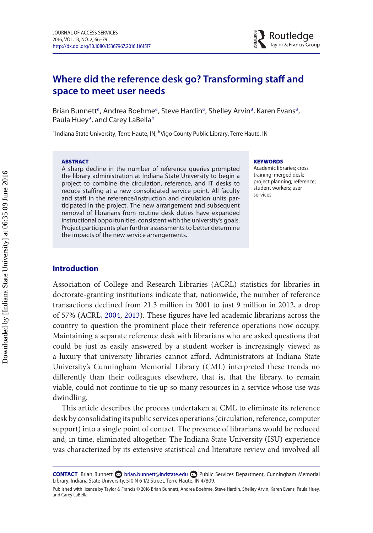# **Where did the reference desk go? Transforming staff and space to meet user needs**

Brian Bunnett<sup>a</sup>, Andrea Boehme<sup>a</sup>, Steve Hardin<sup>a</sup>, Shelley Arvin<sup>a</sup>, Karen Evans<sup>a</sup>, Paula Huey<sup>a</sup>, and Carey LaBella<sup>b</sup>

<span id="page-0-0"></span><sup>a</sup>Indiana State University, Terre Haute, IN; <sup>b</sup>Vigo County Public Library, Terre Haute, IN

### **ABSTRACT**

A sharp decline in the number of reference queries prompted the library administration at Indiana State University to begin a project to combine the circulation, reference, and IT desks to reduce staffing at a new consolidated service point. All faculty and staff in the reference/instruction and circulation units participated in the project. The new arrangement and subsequent removal of librarians from routine desk duties have expanded instructional opportunities, consistent with the university's goals. Project participants plan further assessments to better determine the impacts of the new service arrangements.

#### <span id="page-0-1"></span>**KEYWORDS**

Academic libraries; cross training; merged desk; project planning; reference; student workers; user services

# **Introduction**

Association of College and Research Libraries (ACRL) statistics for libraries in doctorate-granting institutions indicate that, nationwide, the number of reference transactions declined from 21.3 million in 2001 to just 9 million in 2012, a drop of 57% (ACRL, [2004,](#page-12-0) [2013\)](#page-12-1). These figures have led academic librarians across the country to question the prominent place their reference operations now occupy. Maintaining a separate reference desk with librarians who are asked questions that could be just as easily answered by a student worker is increasingly viewed as a luxury that university libraries cannot afford. Administrators at Indiana State University's Cunningham Memorial Library (CML) interpreted these trends no differently than their colleagues elsewhere, that is, that the library, to remain viable, could not continue to tie up so many resources in a service whose use was dwindling.

This article describes the process undertaken at CML to eliminate its reference desk by consolidating its public services operations (circulation, reference, computer support) into a single point of contact. The presence of librarians would be reduced and, in time, eliminated altogether. The Indiana State University (ISU) experience was characterized by its extensive statistical and literature review and involved all

**CONTACT** Brian Bunnett a [brian.bunnett@indstate.edu](mailto:brian.bunnett@indstate.edu) **Public Services Department, Cunningham Memorial** Library, Indiana State University, 510 N 6 1/2 Street, Terre Haute, IN 47809.

Published with license by Taylor & Francis © 2016 Brian Bunnett, Andrea Boehme, Steve Hardin, Shelley Arvin, Karen Evans, Paula Huey, and Carey LaBella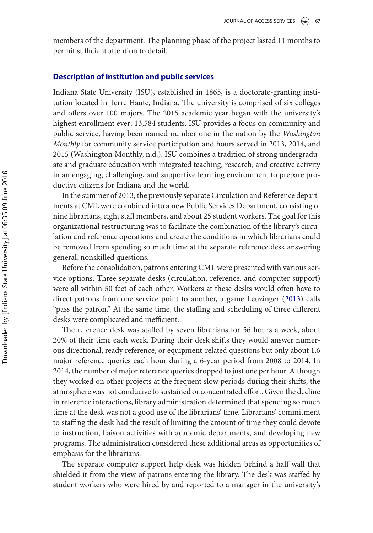members of the department. The planning phase of the project lasted 11 months to permit sufficient attention to detail.

## **Description of institution and public services**

Indiana State University (ISU), established in 1865, is a doctorate-granting institution located in Terre Haute, Indiana. The university is comprised of six colleges and offers over 100 majors. The 2015 academic year began with the university's highest enrollment ever: 13,584 students. ISU provides a focus on community and public service, having been named number one in the nation by the *Washington Monthly* for community service participation and hours served in 2013, 2014, and 2015 (Washington Monthly, n.d.). ISU combines a tradition of strong undergraduate and graduate education with integrated teaching, research, and creative activity in an engaging, challenging, and supportive learning environment to prepare productive citizens for Indiana and the world.

In the summer of 2013, the previously separate Circulation and Reference departments at CML were combined into a new Public Services Department, consisting of nine librarians, eight staff members, and about 25 student workers. The goal for this organizational restructuring was to facilitate the combination of the library's circulation and reference operations and create the conditions in which librarians could be removed from spending so much time at the separate reference desk answering general, nonskilled questions.

Before the consolidation, patrons entering CML were presented with various service options. Three separate desks (circulation, reference, and computer support) were all within 50 feet of each other. Workers at these desks would often have to direct patrons from one service point to another, a game Leuzinger [\(2013\)](#page-12-2) calls "pass the patron." At the same time, the staffing and scheduling of three different desks were complicated and inefficient.

The reference desk was staffed by seven librarians for 56 hours a week, about 20% of their time each week. During their desk shifts they would answer numerous directional, ready reference, or equipment-related questions but only about 1.6 major reference queries each hour during a 6-year period from 2008 to 2014. In 2014, the number of major reference queries dropped to just one per hour. Although they worked on other projects at the frequent slow periods during their shifts, the atmosphere was not conducive to sustained or concentrated effort. Given the decline in reference interactions, library administration determined that spending so much time at the desk was not a good use of the librarians' time. Librarians' commitment to staffing the desk had the result of limiting the amount of time they could devote to instruction, liaison activities with academic departments, and developing new programs. The administration considered these additional areas as opportunities of emphasis for the librarians.

The separate computer support help desk was hidden behind a half wall that shielded it from the view of patrons entering the library. The desk was staffed by student workers who were hired by and reported to a manager in the university's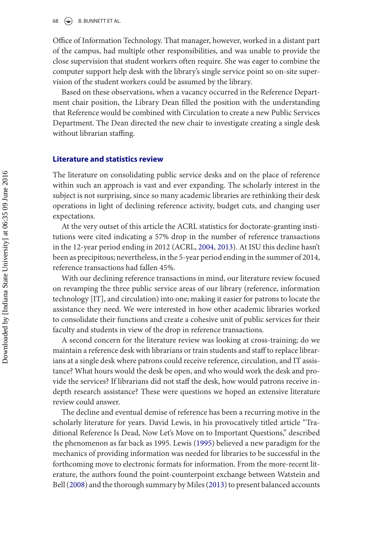Office of Information Technology. That manager, however, worked in a distant part of the campus, had multiple other responsibilities, and was unable to provide the close supervision that student workers often require. She was eager to combine the computer support help desk with the library's single service point so on-site supervision of the student workers could be assumed by the library.

Based on these observations, when a vacancy occurred in the Reference Department chair position, the Library Dean filled the position with the understanding that Reference would be combined with Circulation to create a new Public Services Department. The Dean directed the new chair to investigate creating a single desk without librarian staffing.

## **Literature and statistics review**

The literature on consolidating public service desks and on the place of reference within such an approach is vast and ever expanding. The scholarly interest in the subject is not surprising, since so many academic libraries are rethinking their desk operations in light of declining reference activity, budget cuts, and changing user expectations.

At the very outset of this article the ACRL statistics for doctorate-granting institutions were cited indicating a 57% drop in the number of reference transactions in the 12-year period ending in 2012 (ACRL, [2004,](#page-12-0) [2013\)](#page-12-1). At ISU this decline hasn't been as precipitous; nevertheless, in the 5-year period ending in the summer of 2014, reference transactions had fallen 45%.

With our declining reference transactions in mind, our literature review focused on revamping the three public service areas of our library (reference, information technology [IT], and circulation) into one; making it easier for patrons to locate the assistance they need. We were interested in how other academic libraries worked to consolidate their functions and create a cohesive unit of public services for their faculty and students in view of the drop in reference transactions.

A second concern for the literature review was looking at cross-training; do we maintain a reference desk with librarians or train students and staff to replace librarians at a single desk where patrons could receive reference, circulation, and IT assistance? What hours would the desk be open, and who would work the desk and provide the services? If librarians did not staff the desk, how would patrons receive indepth research assistance? These were questions we hoped an extensive literature review could answer.

The decline and eventual demise of reference has been a recurring motive in the scholarly literature for years. David Lewis, in his provocatively titled article "Traditional Reference Is Dead, Now Let's Move on to Important Questions," described the phenomenon as far back as 1995. Lewis [\(1995\)](#page-12-3) believed a new paradigm for the mechanics of providing information was needed for libraries to be successful in the forthcoming move to electronic formats for information. From the more-recent literature, the authors found the point-counterpoint exchange between Watstein and Bell [\(2008\)](#page-13-0) and the thorough summary by Miles [\(2013\)](#page-13-1) to present balanced accounts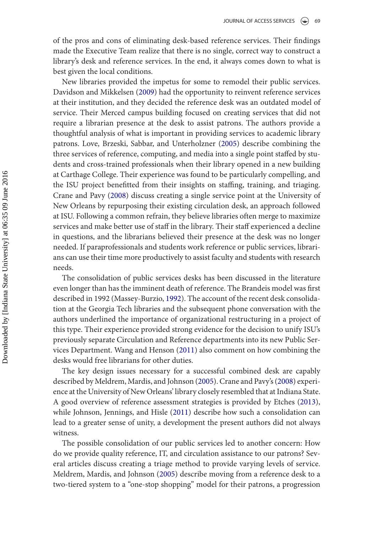of the pros and cons of eliminating desk-based reference services. Their findings made the Executive Team realize that there is no single, correct way to construct a library's desk and reference services. In the end, it always comes down to what is best given the local conditions.

New libraries provided the impetus for some to remodel their public services. Davidson and Mikkelsen [\(2009\)](#page-12-4) had the opportunity to reinvent reference services at their institution, and they decided the reference desk was an outdated model of service. Their Merced campus building focused on creating services that did not require a librarian presence at the desk to assist patrons. The authors provide a thoughtful analysis of what is important in providing services to academic library patrons. Love, Brzeski, Sabbar, and Unterholzner [\(2005\)](#page-12-5) describe combining the three services of reference, computing, and media into a single point staffed by students and cross-trained professionals when their library opened in a new building at Carthage College. Their experience was found to be particularly compelling, and the ISU project benefitted from their insights on staffing, training, and triaging. Crane and Pavy [\(2008\)](#page-12-6) discuss creating a single service point at the University of New Orleans by repurposing their existing circulation desk, an approach followed at ISU. Following a common refrain, they believe libraries often merge to maximize services and make better use of staff in the library. Their staff experienced a decline in questions, and the librarians believed their presence at the desk was no longer needed. If paraprofessionals and students work reference or public services, librarians can use their time more productively to assist faculty and students with research needs.

The consolidation of public services desks has been discussed in the literature even longer than has the imminent death of reference. The Brandeis model was first described in 1992 (Massey-Burzio, [1992\)](#page-13-2). The account of the recent desk consolidation at the Georgia Tech libraries and the subsequent phone conversation with the authors underlined the importance of organizational restructuring in a project of this type. Their experience provided strong evidence for the decision to unify ISU's previously separate Circulation and Reference departments into its new Public Services Department. Wang and Henson [\(2011\)](#page-13-3) also comment on how combining the desks would free librarians for other duties.

The key design issues necessary for a successful combined desk are capably described by Meldrem, Mardis, and Johnson [\(2005\)](#page-13-4). Crane and Pavy's [\(2008\)](#page-12-6) experience at the University of New Orleans' library closely resembled that at Indiana State. A good overview of reference assessment strategies is provided by Etches [\(2013\)](#page-12-7), while Johnson, Jennings, and Hisle [\(2011\)](#page-12-8) describe how such a consolidation can lead to a greater sense of unity, a development the present authors did not always witness.

The possible consolidation of our public services led to another concern: How do we provide quality reference, IT, and circulation assistance to our patrons? Several articles discuss creating a triage method to provide varying levels of service. Meldrem, Mardis, and Johnson [\(2005\)](#page-13-4) describe moving from a reference desk to a two-tiered system to a "one-stop shopping" model for their patrons, a progression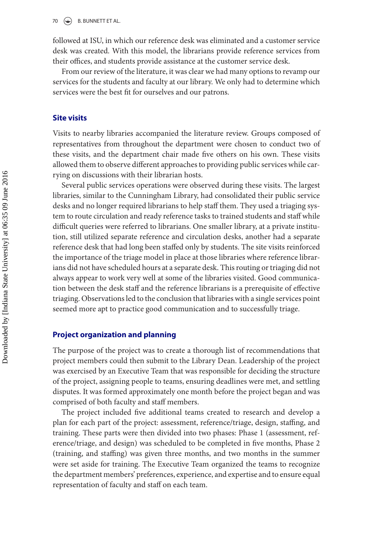followed at ISU, in which our reference desk was eliminated and a customer service desk was created. With this model, the librarians provide reference services from their offices, and students provide assistance at the customer service desk.

From our review of the literature, it was clear we had many options to revamp our services for the students and faculty at our library. We only had to determine which services were the best fit for ourselves and our patrons.

# **Site visits**

Visits to nearby libraries accompanied the literature review. Groups composed of representatives from throughout the department were chosen to conduct two of these visits, and the department chair made five others on his own. These visits allowed them to observe different approaches to providing public services while carrying on discussions with their librarian hosts.

Several public services operations were observed during these visits. The largest libraries, similar to the Cunningham Library, had consolidated their public service desks and no longer required librarians to help staff them. They used a triaging system to route circulation and ready reference tasks to trained students and staff while difficult queries were referred to librarians. One smaller library, at a private institution, still utilized separate reference and circulation desks, another had a separate reference desk that had long been staffed only by students. The site visits reinforced the importance of the triage model in place at those libraries where reference librarians did not have scheduled hours at a separate desk. This routing or triaging did not always appear to work very well at some of the libraries visited. Good communication between the desk staff and the reference librarians is a prerequisite of effective triaging. Observations led to the conclusion that libraries with a single services point seemed more apt to practice good communication and to successfully triage.

## **Project organization and planning**

The purpose of the project was to create a thorough list of recommendations that project members could then submit to the Library Dean. Leadership of the project was exercised by an Executive Team that was responsible for deciding the structure of the project, assigning people to teams, ensuring deadlines were met, and settling disputes. It was formed approximately one month before the project began and was comprised of both faculty and staff members.

The project included five additional teams created to research and develop a plan for each part of the project: assessment, reference/triage, design, staffing, and training. These parts were then divided into two phases: Phase 1 (assessment, reference/triage, and design) was scheduled to be completed in five months, Phase 2 (training, and staffing) was given three months, and two months in the summer were set aside for training. The Executive Team organized the teams to recognize the department members' preferences, experience, and expertise and to ensure equal representation of faculty and staff on each team.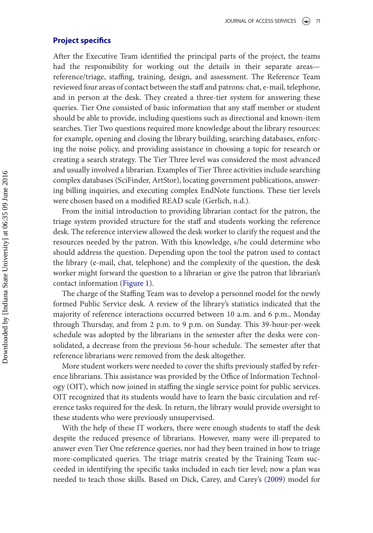## **Project specifics**

After the Executive Team identified the principal parts of the project, the teams had the responsibility for working out the details in their separate areas reference/triage, staffing, training, design, and assessment. The Reference Team reviewed four areas of contact between the staff and patrons: chat, e-mail, telephone, and in person at the desk. They created a three-tier system for answering these queries. Tier One consisted of basic information that any staff member or student should be able to provide, including questions such as directional and known-item searches. Tier Two questions required more knowledge about the library resources: for example, opening and closing the library building, searching databases, enforcing the noise policy, and providing assistance in choosing a topic for research or creating a search strategy. The Tier Three level was considered the most advanced and usually involved a librarian. Examples of Tier Three activities include searching complex databases (SciFinder, ArtStor), locating government publications, answering billing inquiries, and executing complex EndNote functions. These tier levels were chosen based on a modified READ scale (Gerlich, n.d.).

From the initial introduction to providing librarian contact for the patron, the triage system provided structure for the staff and students working the reference desk. The reference interview allowed the desk worker to clarify the request and the resources needed by the patron. With this knowledge, s/he could determine who should address the question. Depending upon the tool the patron used to contact the library (e-mail, chat, telephone) and the complexity of the question, the desk worker might forward the question to a librarian or give the patron that librarian's contact information [\(Figure 1\)](#page-6-0).

The charge of the Staffing Team was to develop a personnel model for the newly formed Public Service desk. A review of the library's statistics indicated that the majority of reference interactions occurred between 10 a.m. and 6 p.m., Monday through Thursday, and from 2 p.m. to 9 p.m. on Sunday. This 39-hour-per-week schedule was adopted by the librarians in the semester after the desks were consolidated, a decrease from the previous 56-hour schedule. The semester after that reference librarians were removed from the desk altogether.

More student workers were needed to cover the shifts previously staffed by reference librarians. This assistance was provided by the Office of Information Technology (OIT), which now joined in staffing the single service point for public services. OIT recognized that its students would have to learn the basic circulation and reference tasks required for the desk. In return, the library would provide oversight to these students who were previously unsupervised.

With the help of these IT workers, there were enough students to staff the desk despite the reduced presence of librarians. However, many were ill-prepared to answer even Tier One reference queries, nor had they been trained in how to triage more-complicated queries. The triage matrix created by the Training Team succeeded in identifying the specific tasks included in each tier level; now a plan was needed to teach those skills. Based on Dick, Carey, and Carey's [\(2009\)](#page-12-9) model for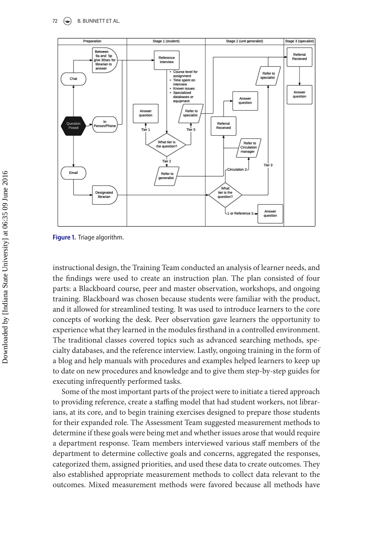<span id="page-6-0"></span>

**Figure 1.** Triage algorithm.

instructional design, the Training Team conducted an analysis of learner needs, and the findings were used to create an instruction plan. The plan consisted of four parts: a Blackboard course, peer and master observation, workshops, and ongoing training. Blackboard was chosen because students were familiar with the product, and it allowed for streamlined testing. It was used to introduce learners to the core concepts of working the desk. Peer observation gave learners the opportunity to experience what they learned in the modules firsthand in a controlled environment. The traditional classes covered topics such as advanced searching methods, specialty databases, and the reference interview. Lastly, ongoing training in the form of a blog and help manuals with procedures and examples helped learners to keep up to date on new procedures and knowledge and to give them step-by-step guides for executing infrequently performed tasks.

Some of the most important parts of the project were to initiate a tiered approach to providing reference, create a staffing model that had student workers, not librarians, at its core, and to begin training exercises designed to prepare those students for their expanded role. The Assessment Team suggested measurement methods to determine if these goals were being met and whether issues arose that would require a department response. Team members interviewed various staff members of the department to determine collective goals and concerns, aggregated the responses, categorized them, assigned priorities, and used these data to create outcomes. They also established appropriate measurement methods to collect data relevant to the outcomes. Mixed measurement methods were favored because all methods have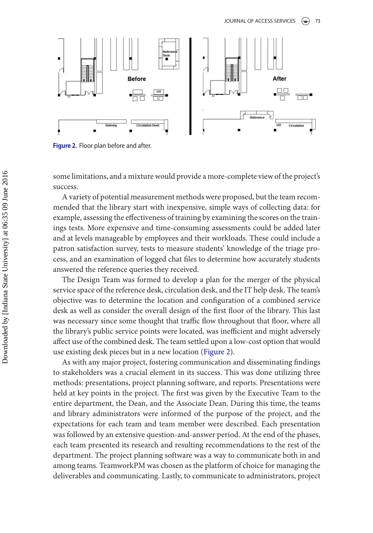<span id="page-7-0"></span>

Figure 2. Floor plan before and after.

some limitations, and a mixture would provide a more-complete view of the project's success.

A variety of potential measurement methods were proposed, but the team recommended that the library start with inexpensive, simple ways of collecting data: for example, assessing the effectiveness of training by examining the scores on the trainings tests. More expensive and time-consuming assessments could be added later and at levels manageable by employees and their workloads. These could include a patron satisfaction survey, tests to measure students' knowledge of the triage process, and an examination of logged chat files to determine how accurately students answered the reference queries they received.

The Design Team was formed to develop a plan for the merger of the physical service space of the reference desk, circulation desk, and the IT help desk. The team's objective was to determine the location and configuration of a combined service desk as well as consider the overall design of the first floor of the library. This last was necessary since some thought that traffic flow throughout that floor, where all the library's public service points were located, was inefficient and might adversely affect use of the combined desk. The team settled upon a low-cost option that would use existing desk pieces but in a new location [\(Figure 2\)](#page-7-0).

As with any major project, fostering communication and disseminating findings to stakeholders was a crucial element in its success. This was done utilizing three methods: presentations, project planning software, and reports. Presentations were held at key points in the project. The first was given by the Executive Team to the entire department, the Dean, and the Associate Dean. During this time, the teams and library administrators were informed of the purpose of the project, and the expectations for each team and team member were described. Each presentation was followed by an extensive question-and-answer period. At the end of the phases, each team presented its research and resulting recommendations to the rest of the department. The project planning software was a way to communicate both in and among teams. TeamworkPM was chosen as the platform of choice for managing the deliverables and communicating. Lastly, to communicate to administrators, project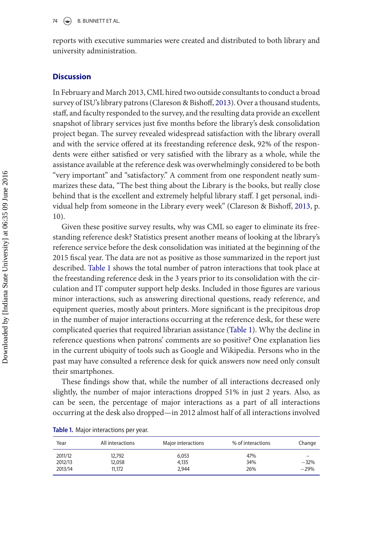reports with executive summaries were created and distributed to both library and university administration.

# **Discussion**

In February and March 2013, CML hired two outside consultants to conduct a broad survey of ISU's library patrons (Clareson & Bishoff, [2013\)](#page-12-10). Over a thousand students, staff, and faculty responded to the survey, and the resulting data provide an excellent snapshot of library services just five months before the library's desk consolidation project began. The survey revealed widespread satisfaction with the library overall and with the service offered at its freestanding reference desk, 92% of the respondents were either satisfied or very satisfied with the library as a whole, while the assistance available at the reference desk was overwhelmingly considered to be both "very important" and "satisfactory." A comment from one respondent neatly summarizes these data, "The best thing about the Library is the books, but really close behind that is the excellent and extremely helpful library staff. I get personal, individual help from someone in the Library every week" (Clareson & Bishoff, [2013,](#page-12-10) p. 10).

Given these positive survey results, why was CML so eager to eliminate its freestanding reference desk? Statistics present another means of looking at the library's reference service before the desk consolidation was initiated at the beginning of the 2015 fiscal year. The data are not as positive as those summarized in the report just described. [Table 1](#page-8-0) shows the total number of patron interactions that took place at the freestanding reference desk in the 3 years prior to its consolidation with the circulation and IT computer support help desks. Included in those figures are various minor interactions, such as answering directional questions, ready reference, and equipment queries, mostly about printers. More significant is the precipitous drop in the number of major interactions occurring at the reference desk, for these were complicated queries that required librarian assistance [\(Table 1\)](#page-8-0). Why the decline in reference questions when patrons' comments are so positive? One explanation lies in the current ubiquity of tools such as Google and Wikipedia. Persons who in the past may have consulted a reference desk for quick answers now need only consult their smartphones.

These findings show that, while the number of all interactions decreased only slightly, the number of major interactions dropped 51% in just 2 years. Also, as can be seen, the percentage of major interactions as a part of all interactions occurring at the desk also dropped—in 2012 almost half of all interactions involved

| Year                          | All interactions           | Major interactions      | % of interactions | Change           |
|-------------------------------|----------------------------|-------------------------|-------------------|------------------|
| 2011/12<br>2012/13<br>2013/14 | 12.792<br>12,058<br>11,172 | 6.053<br>4,135<br>2.944 | 47%<br>34%<br>26% | $-32%$<br>$-29%$ |

<span id="page-8-0"></span>

|  | Table 1. Major interactions per year. |  |
|--|---------------------------------------|--|
|  |                                       |  |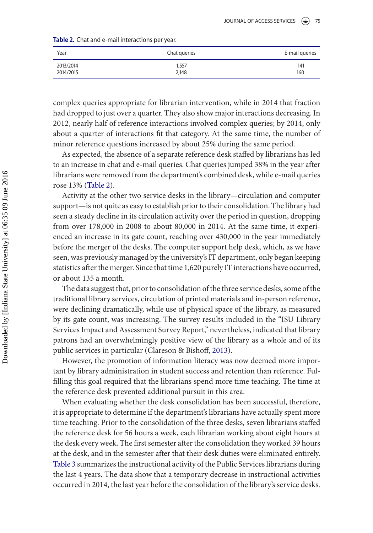<span id="page-9-0"></span>

|  | Table 2. Chat and e-mail interactions per year. |  |
|--|-------------------------------------------------|--|
|  |                                                 |  |

| Year      | Chat queries | E-mail queries |
|-----------|--------------|----------------|
| 2013/2014 | 1,557        | 141            |
| 2014/2015 | 2,148        | 160            |

complex queries appropriate for librarian intervention, while in 2014 that fraction had dropped to just over a quarter. They also show major interactions decreasing. In 2012, nearly half of reference interactions involved complex queries; by 2014, only about a quarter of interactions fit that category. At the same time, the number of minor reference questions increased by about 25% during the same period.

As expected, the absence of a separate reference desk staffed by librarians has led to an increase in chat and e-mail queries. Chat queries jumped 38% in the year after librarians were removed from the department's combined desk, while e-mail queries rose 13% [\(Table 2\)](#page-9-0).

Activity at the other two service desks in the library—circulation and computer support—is not quite as easy to establish prior to their consolidation. The library had seen a steady decline in its circulation activity over the period in question, dropping from over 178,000 in 2008 to about 80,000 in 2014. At the same time, it experienced an increase in its gate count, reaching over 430,000 in the year immediately before the merger of the desks. The computer support help desk, which, as we have seen, was previously managed by the university's IT department, only began keeping statistics after the merger. Since that time 1,620 purely IT interactions have occurred, or about 135 a month.

The data suggest that, prior to consolidation of the three service desks, some of the traditional library services, circulation of printed materials and in-person reference, were declining dramatically, while use of physical space of the library, as measured by its gate count, was increasing. The survey results included in the "ISU Library Services Impact and Assessment Survey Report," nevertheless, indicated that library patrons had an overwhelmingly positive view of the library as a whole and of its public services in particular (Clareson & Bishoff, [2013\)](#page-12-10).

However, the promotion of information literacy was now deemed more important by library administration in student success and retention than reference. Fulfilling this goal required that the librarians spend more time teaching. The time at the reference desk prevented additional pursuit in this area.

When evaluating whether the desk consolidation has been successful, therefore, it is appropriate to determine if the department's librarians have actually spent more time teaching. Prior to the consolidation of the three desks, seven librarians staffed the reference desk for 56 hours a week, each librarian working about eight hours at the desk every week. The first semester after the consolidation they worked 39 hours at the desk, and in the semester after that their desk duties were eliminated entirely. [Table 3](#page-10-0) summarizes the instructional activity of the Public Services librarians during the last 4 years. The data show that a temporary decrease in instructional activities occurred in 2014, the last year before the consolidation of the library's service desks.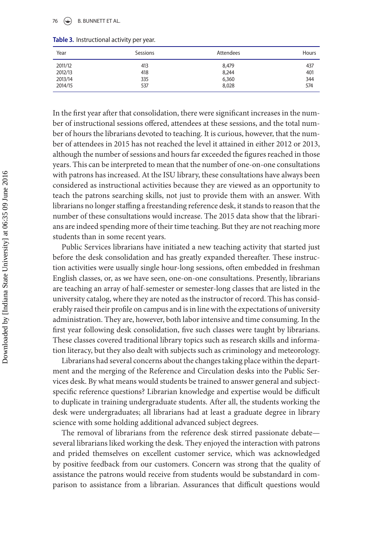### 76  $\left(\bigoplus$  B. BUNNETT ET AL.

<span id="page-10-0"></span>

| Table 3. Instructional activity per year. |  |  |
|-------------------------------------------|--|--|
|                                           |  |  |

| Year    | Sessions | Attendees | Hours |
|---------|----------|-----------|-------|
| 2011/12 | 413      | 8,479     | 437   |
| 2012/13 | 418      | 8,244     | 401   |
| 2013/14 | 335      | 6,360     | 344   |
| 2014/15 | 537      | 8,028     | 574   |

In the first year after that consolidation, there were significant increases in the number of instructional sessions offered, attendees at these sessions, and the total number of hours the librarians devoted to teaching. It is curious, however, that the number of attendees in 2015 has not reached the level it attained in either 2012 or 2013, although the number of sessions and hours far exceeded the figures reached in those years. This can be interpreted to mean that the number of one-on-one consultations with patrons has increased. At the ISU library, these consultations have always been considered as instructional activities because they are viewed as an opportunity to teach the patrons searching skills, not just to provide them with an answer. With librarians no longer staffing a freestanding reference desk, it stands to reason that the number of these consultations would increase. The 2015 data show that the librarians are indeed spending more of their time teaching. But they are not reaching more students than in some recent years.

Public Services librarians have initiated a new teaching activity that started just before the desk consolidation and has greatly expanded thereafter. These instruction activities were usually single hour-long sessions, often embedded in freshman English classes, or, as we have seen, one-on-one consultations. Presently, librarians are teaching an array of half-semester or semester-long classes that are listed in the university catalog, where they are noted as the instructor of record. This has considerably raised their profile on campus and is in line with the expectations of university administration. They are, however, both labor intensive and time consuming. In the first year following desk consolidation, five such classes were taught by librarians. These classes covered traditional library topics such as research skills and information literacy, but they also dealt with subjects such as criminology and meteorology.

Librarians had several concerns about the changes taking place within the department and the merging of the Reference and Circulation desks into the Public Services desk. By what means would students be trained to answer general and subjectspecific reference questions? Librarian knowledge and expertise would be difficult to duplicate in training undergraduate students. After all, the students working the desk were undergraduates; all librarians had at least a graduate degree in library science with some holding additional advanced subject degrees.

The removal of librarians from the reference desk stirred passionate debate several librarians liked working the desk. They enjoyed the interaction with patrons and prided themselves on excellent customer service, which was acknowledged by positive feedback from our customers. Concern was strong that the quality of assistance the patrons would receive from students would be substandard in comparison to assistance from a librarian. Assurances that difficult questions would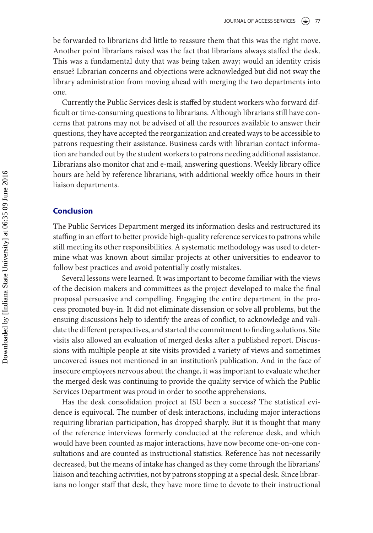be forwarded to librarians did little to reassure them that this was the right move. Another point librarians raised was the fact that librarians always staffed the desk. This was a fundamental duty that was being taken away; would an identity crisis ensue? Librarian concerns and objections were acknowledged but did not sway the library administration from moving ahead with merging the two departments into one.

Currently the Public Services desk is staffed by student workers who forward difficult or time-consuming questions to librarians. Although librarians still have concerns that patrons may not be advised of all the resources available to answer their questions, they have accepted the reorganization and created ways to be accessible to patrons requesting their assistance. Business cards with librarian contact information are handed out by the student workers to patrons needing additional assistance. Librarians also monitor chat and e-mail, answering questions. Weekly library office hours are held by reference librarians, with additional weekly office hours in their liaison departments.

# **Conclusion**

The Public Services Department merged its information desks and restructured its staffing in an effort to better provide high-quality reference services to patrons while still meeting its other responsibilities. A systematic methodology was used to determine what was known about similar projects at other universities to endeavor to follow best practices and avoid potentially costly mistakes.

Several lessons were learned. It was important to become familiar with the views of the decision makers and committees as the project developed to make the final proposal persuasive and compelling. Engaging the entire department in the process promoted buy-in. It did not eliminate dissension or solve all problems, but the ensuing discussions help to identify the areas of conflict, to acknowledge and validate the different perspectives, and started the commitment to finding solutions. Site visits also allowed an evaluation of merged desks after a published report. Discussions with multiple people at site visits provided a variety of views and sometimes uncovered issues not mentioned in an institution's publication. And in the face of insecure employees nervous about the change, it was important to evaluate whether the merged desk was continuing to provide the quality service of which the Public Services Department was proud in order to soothe apprehensions.

Has the desk consolidation project at ISU been a success? The statistical evidence is equivocal. The number of desk interactions, including major interactions requiring librarian participation, has dropped sharply. But it is thought that many of the reference interviews formerly conducted at the reference desk, and which would have been counted as major interactions, have now become one-on-one consultations and are counted as instructional statistics. Reference has not necessarily decreased, but the means of intake has changed as they come through the librarians' liaison and teaching activities, not by patrons stopping at a special desk. Since librarians no longer staff that desk, they have more time to devote to their instructional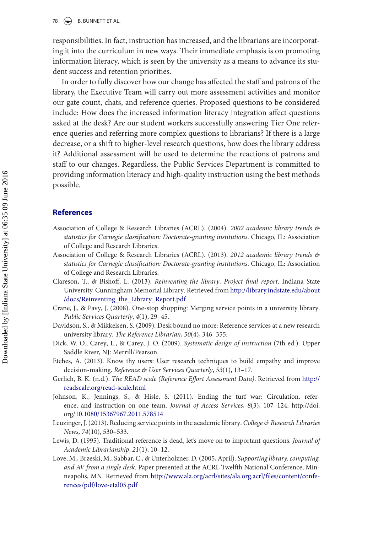## $\circledast$  B. BUNNETT ET AL.

responsibilities. In fact, instruction has increased, and the librarians are incorporating it into the curriculum in new ways. Their immediate emphasis is on promoting information literacy, which is seen by the university as a means to advance its student success and retention priorities.

In order to fully discover how our change has affected the staff and patrons of the library, the Executive Team will carry out more assessment activities and monitor our gate count, chats, and reference queries. Proposed questions to be considered include: How does the increased information literacy integration affect questions asked at the desk? Are our student workers successfully answering Tier One reference queries and referring more complex questions to librarians? If there is a large decrease, or a shift to higher-level research questions, how does the library address it? Additional assessment will be used to determine the reactions of patrons and staff to our changes. Regardless, the Public Services Department is committed to providing information literacy and high-quality instruction using the best methods possible.

# **References**

- <span id="page-12-0"></span>Association of College & Research Libraries (ACRL). (2004). *2002 academic library trends & statistics for Carnegie classification: Doctorate-granting institutions*. Chicago, IL: Association of College and Research Libraries.
- <span id="page-12-1"></span>Association of College & Research Libraries (ACRL). (2013). *2012 academic library trends & statistics for Carnegie classification: Doctorate-granting institutions*. Chicago, IL: Association of College and Research Libraries.
- <span id="page-12-10"></span>Clareson, T., & Bishoff, L. (2013). *Reinventing the library*. *Project final report*. Indiana State [University. Cunningham Memorial Library. Retrieved from](http://library.indstate.edu/about/docs/Reinventing_the_Library_Report.pdf) http://library.indstate.edu/about /docs/Reinventing\_the\_Library\_Report.pdf
- <span id="page-12-6"></span>Crane, J., & Pavy, J. (2008). One-stop shopping: Merging service points in a university library. *Public Services Quarterly*, *4*(1), 29–45.
- <span id="page-12-4"></span>Davidson, S., & Mikkelsen, S. (2009). Desk bound no more: Reference services at a new research university library. *The Reference Librarian*, *50*(4), 346–355.
- <span id="page-12-9"></span>Dick, W. O., Carey, L., & Carey, J. O. (2009). *Systematic design of instruction* (7th ed.). Upper Saddle River, NJ: Merrill/Pearson.
- <span id="page-12-7"></span>Etches, A. (2013). Know thy users: User research techniques to build empathy and improve decision-making. *Reference & User Services Quarterly*, *53*(1), 13–17.
- Gerlich, B. K. (n.d.). *[The READ scale \(Reference Effort Assessment Data\)](http://readscale.org/read-scale.html)*. Retrieved from http:// readscale.org/read-scale.html
- <span id="page-12-8"></span>Johnson, K., Jennings, S., & Hisle, S. (2011). Ending the turf war: Circulation, reference, and instruction on one team. *Journal of Access Services*, *8*(3), 107–124. http://doi. org[/10.1080/15367967.2011.578514](http://dx.doi.org/10.1080/15367967.2011.578514)
- <span id="page-12-2"></span>Leuzinger, J. (2013). Reducing service points in the academic library. *College & Research Libraries News*, *74*(10), 530–533.
- <span id="page-12-3"></span>Lewis, D. (1995). Traditional reference is dead, let's move on to important questions. *Journal of Academic Librarianship*, *21*(1), 10–12.
- <span id="page-12-5"></span>Love, M., Brzeski, M., Sabbar, C., & Unterholzner, D. (2005, April). *Supporting library, computing, and AV from a single desk*. Paper presented at the ACRL Twelfth National Conference, Minneapolis, MN. Retrieved from [http://www.ala.org/acrl/sites/ala.org.acrl/files/content/confe](http://www.ala.org/acrl/sites/ala.org.acrl/files/content/conferences/pdf/love-etal05.pdf)rences/pdf/love-etal05.pdf